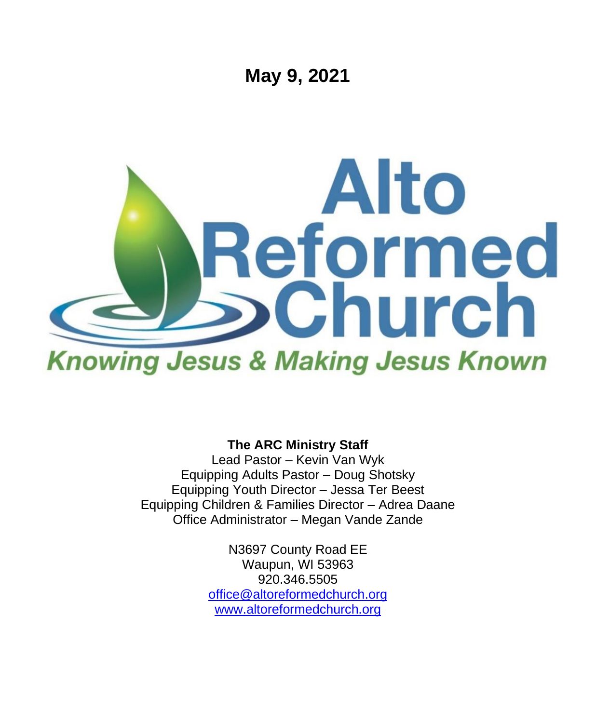

**The ARC Ministry Staff**

Lead Pastor – Kevin Van Wyk Equipping Adults Pastor – Doug Shotsky Equipping Youth Director – Jessa Ter Beest Equipping Children & Families Director – Adrea Daane Office Administrator – Megan Vande Zande

> N3697 County Road EE Waupun, WI 53963 920.346.5505 [office@altoreformedchurch.org](mailto:office@altoreformedchurch.org) [www.altoreformedchurch.org](http://www.altoreformedchurch.org/)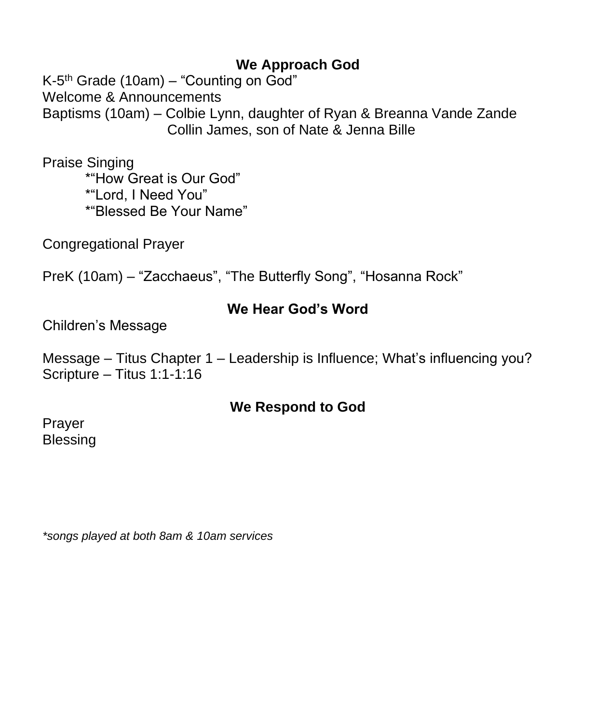### **We Approach God**

K-5<sup>th</sup> Grade (10am) – "Counting on God" Welcome & Announcements Baptisms (10am) – Colbie Lynn, daughter of Ryan & Breanna Vande Zande Collin James, son of Nate & Jenna Bille

Praise Singing \*"How Great is Our God" \*"Lord, I Need You" \*"Blessed Be Your Name"

Congregational Prayer

PreK (10am) – "Zacchaeus", "The Butterfly Song", "Hosanna Rock"

#### **We Hear God's Word**

Children's Message

Message – Titus Chapter 1 – Leadership is Influence; What's influencing you? Scripture – Titus 1:1-1:16

## **We Respond to God**

Prayer Blessing

*\*songs played at both 8am & 10am services*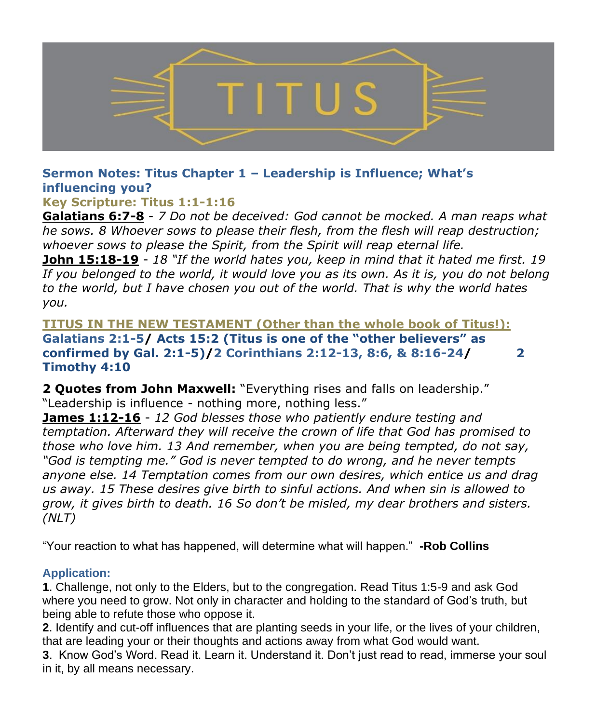

#### **Sermon Notes: Titus Chapter 1 – Leadership is Influence; What's influencing you?**

**Key Scripture: Titus 1:1-1:16**

**Galatians 6:7-8** - *7 Do not be deceived: God cannot be mocked. A man reaps what he sows. 8 Whoever sows to please their flesh, from the flesh will reap destruction; whoever sows to please the Spirit, from the Spirit will reap eternal life.* 

**John 15:18-19** - *18 "If the world hates you, keep in mind that it hated me first. 19 If you belonged to the world, it would love you as its own. As it is, you do not belong to the world, but I have chosen you out of the world. That is why the world hates you.*

**TITUS IN THE NEW TESTAMENT (Other than the whole book of Titus!): Galatians 2:1-5/ Acts 15:2 (Titus is one of the "other believers" as confirmed by Gal. 2:1-5)/2 Corinthians 2:12-13, 8:6, & 8:16-24/ 2 Timothy 4:10**

**2 Quotes from John Maxwell:** "Everything rises and falls on leadership." "Leadership is influence - nothing more, nothing less."

**James 1:12-16** - *12 God blesses those who patiently endure testing and temptation. Afterward they will receive the crown of life that God has promised to those who love him. 13 And remember, when you are being tempted, do not say, "God is tempting me." God is never tempted to do wrong, and he never tempts anyone else. 14 Temptation comes from our own desires, which entice us and drag us away. 15 These desires give birth to sinful actions. And when sin is allowed to grow, it gives birth to death. 16 So don't be misled, my dear brothers and sisters. (NLT)*

"Your reaction to what has happened, will determine what will happen." **-Rob Collins**

#### **Application:**

**1**. Challenge, not only to the Elders, but to the congregation. Read Titus 1:5-9 and ask God where you need to grow. Not only in character and holding to the standard of God's truth, but being able to refute those who oppose it.

**2**. Identify and cut-off influences that are planting seeds in your life, or the lives of your children, that are leading your or their thoughts and actions away from what God would want.

**3**. Know God's Word. Read it. Learn it. Understand it. Don't just read to read, immerse your soul in it, by all means necessary.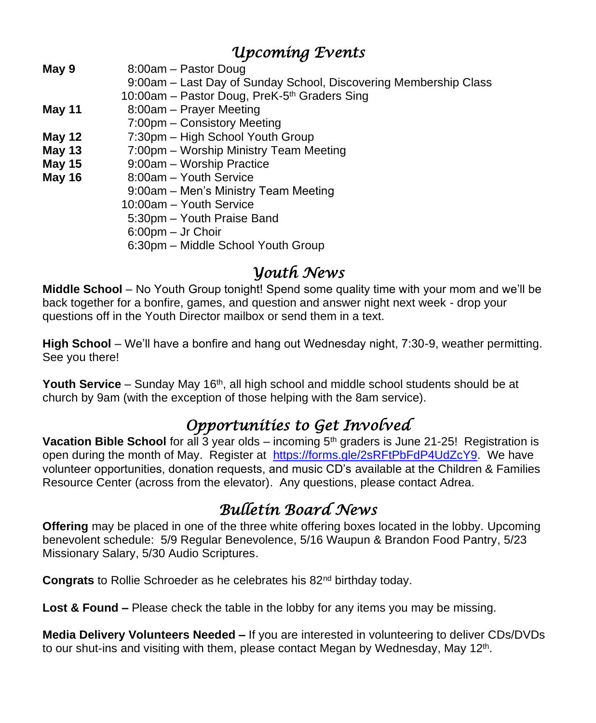## *Upcoming Events*

**May 9** 8:00am – Pastor Doug

- 9:00am Last Day of Sunday School, Discovering Membership Class
- 10:00am Pastor Doug, PreK-5<sup>th</sup> Graders Sing
- **May 11** 8:00am Prayer Meeting
- 7:00pm Consistory Meeting
- **May 12** 7:30pm High School Youth Group
- **May 13** 7:00pm Worship Ministry Team Meeting
- **May 15** 9:00am Worship Practice
- May 16 8:00am Youth Service
	- 9:00am Men's Ministry Team Meeting
		- 10:00am Youth Service
		- 5:30pm Youth Praise Band
		- 6:00pm Jr Choir
		- 6:30pm Middle School Youth Group

## *Youth News*

**Middle School** – No Youth Group tonight! Spend some quality time with your mom and we'll be back together for a bonfire, games, and question and answer night next week - drop your questions off in the Youth Director mailbox or send them in a text.

**High School** – We'll have a bonfire and hang out Wednesday night, 7:30-9, weather permitting. See you there!

**Youth Service** – Sunday May 16<sup>th</sup>, all high school and middle school students should be at church by 9am (with the exception of those helping with the 8am service).

# *Opportunities to Get Involved*

**Vacation Bible School** for all 3 year olds – incoming 5<sup>th</sup> graders is June 21-25! Registration is open during the month of May. Register at [https://forms.gle/2sRFtPbFdP4UdZcY9.](https://na01.safelinks.protection.outlook.com/?url=http%3A%2F%2Flinks.breezechms.com%2Fls%2Fclick%3Fupn%3DtQDFDhR0nEOlNZKVZKv2dEg3OvQj0a-2B5JGz-2BxseoSu7E1vrB4h1oWm780fyouqtOIDPhuqgk6gtRbvbfrsRnhz9n1Yzr7nEKxVFkFpFKMxkoh59vDzmQ9InMUqi7hhmFaC5z1PN2AvrM3unEMEa02RX9nneHZEL9IAMDaT3bOa4-3DgWdR_U8-2FzRMA8pwK6BcKXi4HrKpKb3fHOB0elU-2BAvqxm-2FKiS6MX4G8HavMkPn-2FWG1iyelCyfb4on5Jd4Cr5hOkCAL7JAbucdGJcE7uY5pIc9fpB9oSKqPBdARmBvkWDI1i4I-2FHjYF8zSDS6BnT1ywYfruA8S6l8so-2FCOZgyybP8atCvbcntEMCWksHN5VdNMvUNFCSZHAmE7gRQdbzR8OTz4wHTAQm01cysl6nhd8jovXqP9ZhJwuCow3pgwZuTDJg6awLTL6DMoT0RXDC3H51cr5Z4qrOsl2eOeKwRc8H3Mx4Oo-3D&data=04%7C01%7C%7C5398d0f64eef47d46c6d08d90be2bcf2%7C84df9e7fe9f640afb435aaaaaaaaaaaa%7C1%7C0%7C637553890719092207%7CUnknown%7CTWFpbGZsb3d8eyJWIjoiMC4wLjAwMDAiLCJQIjoiV2luMzIiLCJBTiI6Ik1haWwiLCJXVCI6Mn0%3D%7C1000&sdata=p7YtKll%2FzvrteEcGfyTP2RV2ZgH4PFt4ipVlpPevG0g%3D&reserved=0) We have volunteer opportunities, donation requests, and music CD's available at the Children & Families Resource Center (across from the elevator). Any questions, please contact Adrea.

# *Bulletin Board News*

**Offering** may be placed in one of the three white offering boxes located in the lobby. Upcoming benevolent schedule: 5/9 Regular Benevolence, 5/16 Waupun & Brandon Food Pantry, 5/23 Missionary Salary, 5/30 Audio Scriptures.

**Congrats** to Rollie Schroeder as he celebrates his 82<sup>nd</sup> birthday today.

**Lost & Found –** Please check the table in the lobby for any items you may be missing.

**Media Delivery Volunteers Needed –** If you are interested in volunteering to deliver CDs/DVDs to our shut-ins and visiting with them, please contact Megan by Wednesday, May 12<sup>th</sup>.